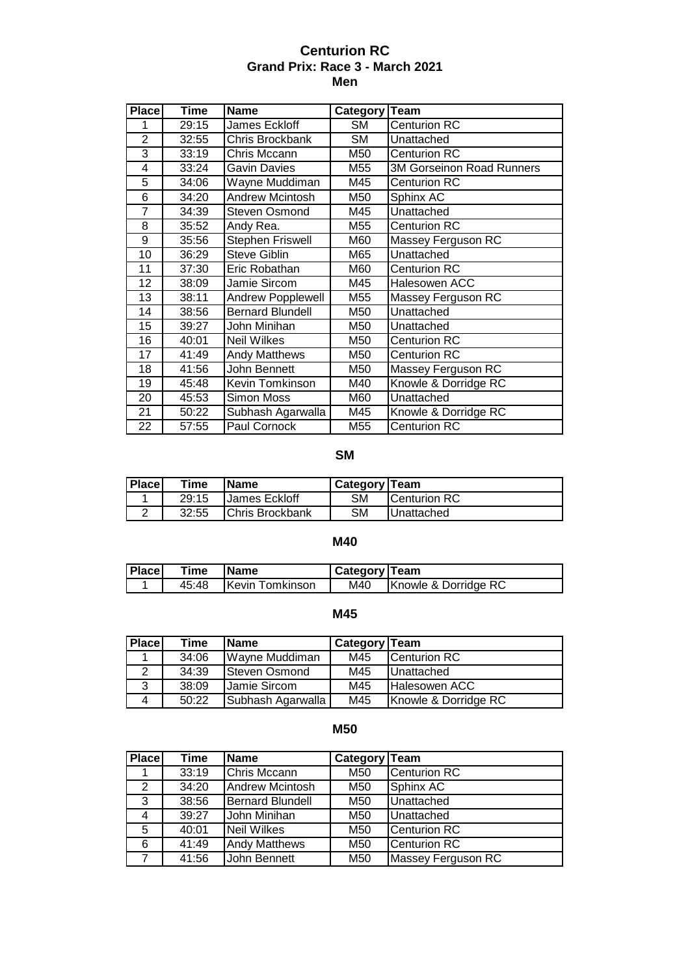### **Centurion RC Grand Prix: Race 3 - March 2021 Men**

| <b>Place</b>   | <b>Time</b>        | <b>Name</b>              | Category  | <b>Team</b>               |
|----------------|--------------------|--------------------------|-----------|---------------------------|
| 1              | 29:15              | James Eckloff            | <b>SM</b> | <b>Centurion RC</b>       |
| $\overline{2}$ | 32:55              | Chris Brockbank          | <b>SM</b> | Unattached                |
| 3              | 33:19              | Chris Mccann             | M50       | <b>Centurion RC</b>       |
| 4              | 33:24              | <b>Gavin Davies</b>      | M55       | 3M Gorseinon Road Runners |
| 5              | 34:06              | Wayne Muddiman           | M45       | <b>Centurion RC</b>       |
| 6              | 34:20              | <b>Andrew Mcintosh</b>   | M50       | Sphinx AC                 |
| 7              | 34:39              | <b>Steven Osmond</b>     | M45       | Unattached                |
| 8              | 35:52              | Andy Rea.                | M55       | <b>Centurion RC</b>       |
| 9              | 35:56              | Stephen Friswell         | M60       | Massey Ferguson RC        |
| 10             | 36:29              | <b>Steve Giblin</b>      | M65       | Unattached                |
| 11             | 37:30              | Eric Robathan            | M60       | <b>Centurion RC</b>       |
| 12             | 38:09              | Jamie Sircom             | M45       | Halesowen ACC             |
| 13             | 38:11              | <b>Andrew Popplewell</b> | M55       | Massey Ferguson RC        |
| 14             | 38:56              | <b>Bernard Blundell</b>  | M50       | Unattached                |
| 15             | 39:27              | John Minihan             | M50       | Unattached                |
| 16             | 40:01              | <b>Neil Wilkes</b>       | M50       | <b>Centurion RC</b>       |
| 17             | 41:49              | <b>Andy Matthews</b>     | M50       | <b>Centurion RC</b>       |
| 18             | $\overline{4}1:56$ | John Bennett             | M50       | Massey Ferguson RC        |
| 19             | 45:48              | Kevin Tomkinson          | M40       | Knowle & Dorridge RC      |
| 20             | 45:53              | Simon Moss               | M60       | Unattached                |
| 21             | 50:22              | Subhash Agarwalla        | M45       | Knowle & Dorridge RC      |
| 22             | 57:55              | Paul Cornock             | M55       | <b>Centurion RC</b>       |

## **SM**

| <b>Place</b> | Time  | <b>Name</b>            | <b>Category Team</b> |                      |
|--------------|-------|------------------------|----------------------|----------------------|
|              | 29:15 | <b>IJames Eckloff</b>  | SΜ                   | <b>ICenturion RC</b> |
|              | 32:55 | <b>Chris Brockbank</b> | SΜ                   | <b>IUnattached</b>   |

## **M40**

| <b>Place</b> | Time  | <b>Name</b>     | Category   Team |                      |
|--------------|-------|-----------------|-----------------|----------------------|
|              | 45:48 | Kevin Tomkinson | M40             | Knowle & Dorridge RC |

#### **M45**

| <b>Place</b> | Time  | <b>IName</b>      | Category Team |                      |
|--------------|-------|-------------------|---------------|----------------------|
|              | 34:06 | Wayne Muddiman    | M45           | Centurion RC         |
|              | 34:39 | Steven Osmond     | M45           | <b>Unattached</b>    |
| 3            | 38:09 | Jamie Sircom      | M45           | <b>Halesowen ACC</b> |
|              | 50:22 | Subhash Agarwalla | M45           | Knowle & Dorridge RC |

### **M50**

| <b>Place</b> | Time  | <b>Name</b>             | Category Team   |                     |
|--------------|-------|-------------------------|-----------------|---------------------|
|              | 33:19 | Chris Mccann            | M50             | <b>Centurion RC</b> |
| 2            | 34:20 | Andrew Mcintosh         | M50             | Sphinx AC           |
| 3            | 38:56 | <b>Bernard Blundell</b> | M <sub>50</sub> | Unattached          |
| 4            | 39:27 | John Minihan            | M50             | Unattached          |
| 5            | 40:01 | <b>Neil Wilkes</b>      | M50             | <b>Centurion RC</b> |
| 6            | 41:49 | <b>Andy Matthews</b>    | M50             | <b>Centurion RC</b> |
|              | 41:56 | John Bennett            | M <sub>50</sub> | Massey Ferguson RC  |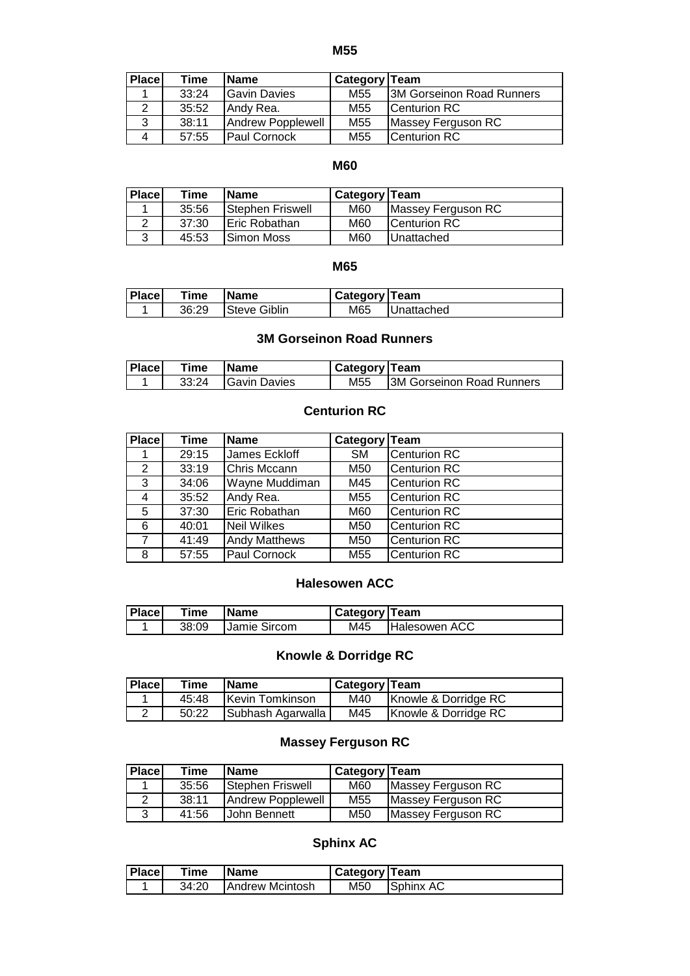**M55**

| <b>Place</b> | Time  | <b>Name</b>         | <b>Category Team</b> |                           |
|--------------|-------|---------------------|----------------------|---------------------------|
|              | 33:24 | <b>Gavin Davies</b> | M <sub>55</sub>      | 3M Gorseinon Road Runners |
|              | 35:52 | Andy Rea.           | M55                  | <b>ICenturion RC</b>      |
| 3            | 38:11 | Andrew Popplewell   | M <sub>55</sub>      | Massey Ferguson RC        |
| $\mathbf 4$  | 57:55 | <b>Paul Cornock</b> | M55                  | Centurion RC              |

#### **M60**

| <b>Place</b> | Time  | <b>Name</b>           | Category   Team |                      |
|--------------|-------|-----------------------|-----------------|----------------------|
|              | 35:56 | Stephen Friswell      | M60             | Massey Ferguson RC   |
|              | 37:30 | <b>IEric Robathan</b> | M60             | <b>ICenturion RC</b> |
|              | 45:53 | <b>ISimon Moss</b>    | M60             | <b>Unattached</b>    |

#### **M65**

| <b>Place</b> | Time  | <b>Name</b>          | ' Category Team |            |
|--------------|-------|----------------------|-----------------|------------|
|              | 36:29 | <b>ISteve Giblin</b> | M65             | Unattached |

### **3M Gorseinon Road Runners**

| <b>Place</b> | Time  | <b>IName</b>         | <b>I Category Team</b> |                                   |
|--------------|-------|----------------------|------------------------|-----------------------------------|
|              | 33:24 | <b>IGavin Davies</b> | M55                    | <b>I3M Gorseinon Road Runners</b> |

## **Centurion RC**

| <b>Place</b> | Time  | <b>Name</b>          | Category   Team |                     |
|--------------|-------|----------------------|-----------------|---------------------|
|              | 29:15 | James Eckloff        | <b>SM</b>       | Centurion RC        |
| 2            | 33:19 | Chris Mccann         | M50             | <b>Centurion RC</b> |
| 3            | 34:06 | Wayne Muddiman       | M45             | <b>Centurion RC</b> |
| 4            | 35:52 | Andy Rea.            | M <sub>55</sub> | <b>Centurion RC</b> |
| 5            | 37:30 | Eric Robathan        | M60             | <b>Centurion RC</b> |
| 6            | 40:01 | Neil Wilkes          | M50             | Centurion RC        |
| 7            | 41:49 | <b>Andy Matthews</b> | M50             | <b>Centurion RC</b> |
| 8            | 57:55 | Paul Cornock         | M <sub>55</sub> | <b>Centurion RC</b> |

### **Halesowen ACC**

| Place | Time  | <b>IName</b>         | Category   Team |                      |
|-------|-------|----------------------|-----------------|----------------------|
|       | 38:09 | <b>IJamie Sircom</b> | M45             | <b>Halesowen ACC</b> |

## **Knowle & Dorridge RC**

| <b>Place</b> | Time  | <b>IName</b>      | Category   Team |                      |
|--------------|-------|-------------------|-----------------|----------------------|
|              | 45:48 | Kevin Tomkinson   | M40             | Knowle & Dorridge RC |
|              | 50:22 | Subhash Agarwalla | M45             | Knowle & Dorridge RC |

### **Massey Ferguson RC**

| <b>Place</b> | Time  | <b>Name</b>       | <b>Category Team</b> |                    |
|--------------|-------|-------------------|----------------------|--------------------|
|              | 35:56 | Stephen Friswell  | M60                  | Massey Ferguson RC |
|              | 38:11 | Andrew Popplewell | M <sub>55</sub>      | Massey Ferguson RC |
| 3            | 41:56 | John Bennett      | M50                  | Massey Ferguson RC |

# **Sphinx AC**

| <b>Place</b> | Time  | Name            | <b>Category Team</b> |              |
|--------------|-------|-----------------|----------------------|--------------|
|              | 34:20 | Andrew Mcintosh | M50                  | Sphinx<br>AC |